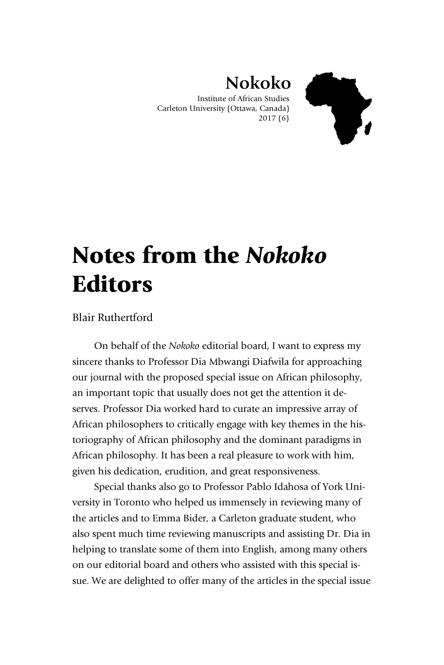

## **Nokoko**

Institute of African Studies Carleton University (Ottawa, Canada) 2017 (6)

## Notes from the *Nokoko* **Editors**

## Blair Ruthertford

On behalf of the *Nokoko* editorial board, I want to express my sincere thanks to Professor Dia Mbwangi Diafwila for approaching our journal with the proposed special issue on African philosophy, an important topic that usually does not get the attention it deserves. Professor Dia worked hard to curate an impressive array of African philosophers to critically engage with key themes in the historiography of African philosophy and the dominant paradigms in African philosophy. It has been a real pleasure to work with him, given his dedication, erudition, and great responsiveness.

Special thanks also go to Professor Pablo Idahosa of York University in Toronto who helped us immensely in reviewing many of the articles and to Emma Bider, a Carleton graduate student, who also spent much time reviewing manuscripts and assisting Dr. Dia in helping to translate some of them into English, among many others on our editorial board and others who assisted with this special issue. We are delighted to offer many of the articles in the special issue